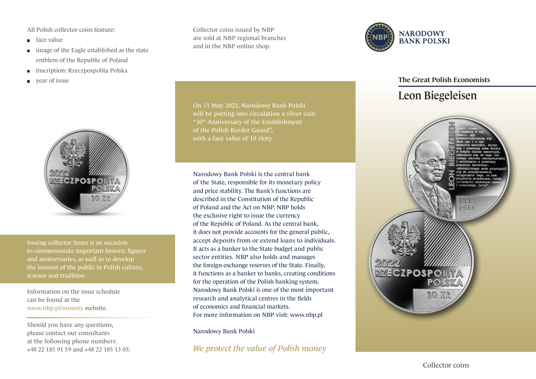All Polish collector coins feature:

- face value
- image of the Eagle established as the state emblem of the Republic of Poland
- inscription: Rzeczpospolita Polska m.
- year of issue



Issuing collector items is an occasion to commemorate important historic figures and anniversaries, as well as to develop the interest of the public in Polish culture, science and tradition.

Information on the issue schedule can be found at the www.nbp.pl/monety website.

Should you have any questions, please contact our consultants at the following phone numbers: +48 22 185 91 59 and +48 22 185 13 03. Collector coins issued by NBP are sold at NBP regional branches and in the NBP online shop.



Narodowy Bank Polski is the central bank of the State, responsible for its monetary policy and price stability. The Bank's functions are described in the Constitution of the Republic of Poland and the Act on NBP. NBP holds the exclusive right to issue the currency of the Republic of Poland. As the central bank, it does not provide accounts for the general public, accept deposits from or extend loans to individuals. It acts as a banker to the State budget and public sector entities. NBP also holds and manages the foreign exchange reserves of the State. Finally, it functions as a banker to banks, creating conditions for the operation of the Polish banking system. Narodowy Bank Polski is one of the most important research and analytical centres in the fields of economics and financial markets. For more information on NBP visit: www.nbp.pl

Narodowy Bank Polski

*We protect the value of Polish money*



## The Great Polish Economists

## Leon Biegeleisen